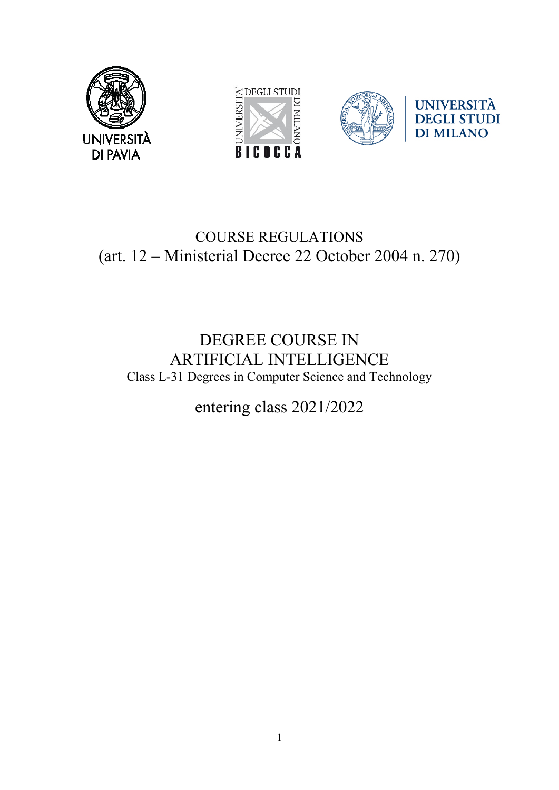



# COURSE REGULATIONS (art. 12 – Ministerial Decree 22 October 2004 n. 270)

# DEGREE COURSE IN ARTIFICIAL INTELLIGENCE Class L-31 Degrees in Computer Science and Technology

entering class 2021/2022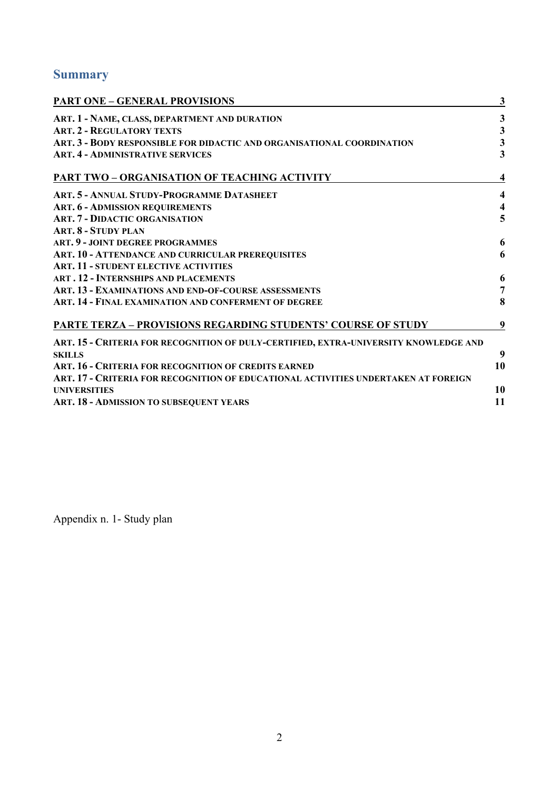# **Summary**

| <b>PART ONE - GENERAL PROVISIONS</b>                                                 | $\mathbf{3}$            |
|--------------------------------------------------------------------------------------|-------------------------|
| ART. 1 - NAME, CLASS, DEPARTMENT AND DURATION                                        | $\mathbf{3}$            |
| <b>ART. 2 - REGULATORY TEXTS</b>                                                     | $\mathbf{3}$            |
| ART. 3 - BODY RESPONSIBLE FOR DIDACTIC AND ORGANISATIONAL COORDINATION               | $\mathbf{3}$            |
| <b>ART. 4 - ADMINISTRATIVE SERVICES</b>                                              | $\overline{\mathbf{3}}$ |
| <b>PART TWO - ORGANISATION OF TEACHING ACTIVITY</b>                                  | 4                       |
| ART. 5 - ANNUAL STUDY-PROGRAMME DATASHEET                                            | $\overline{\mathbf{4}}$ |
| <b>ART. 6 - ADMISSION REQUIREMENTS</b>                                               | $\overline{\mathbf{4}}$ |
| <b>ART. 7 - DIDACTIC ORGANISATION</b>                                                | 5                       |
| <b>ART. 8 - STUDY PLAN</b>                                                           |                         |
| ART. 9 - JOINT DEGREE PROGRAMMES                                                     | 6                       |
| ART. 10 - ATTENDANCE AND CURRICULAR PREREQUISITES                                    | 6                       |
| <b>ART. 11 - STUDENT ELECTIVE ACTIVITIES</b>                                         |                         |
| <b>ART. 12 - INTERNSHIPS AND PLACEMENTS</b>                                          | 6                       |
| ART. 13 - EXAMINATIONS AND END-OF-COURSE ASSESSMENTS                                 | $\overline{7}$          |
| ART. 14 - FINAL EXAMINATION AND CONFERMENT OF DEGREE                                 | 8                       |
| <b>PARTE TERZA - PROVISIONS REGARDING STUDENTS' COURSE OF STUDY</b>                  | 9                       |
| ART. 15 - CRITERIA FOR RECOGNITION OF DULY-CERTIFIED, EXTRA-UNIVERSITY KNOWLEDGE AND |                         |
| <b>SKILLS</b>                                                                        | 9                       |
| ART. 16 - CRITERIA FOR RECOGNITION OF CREDITS EARNED                                 | 10                      |
| ART. 17 - CRITERIA FOR RECOGNITION OF EDUCATIONAL ACTIVITIES UNDERTAKEN AT FOREIGN   |                         |
| <b>UNIVERSITIES</b>                                                                  | 10                      |
| ART. 18 - ADMISSION TO SUBSEQUENT YEARS                                              | 11                      |
|                                                                                      |                         |

Appendix n. 1- Study plan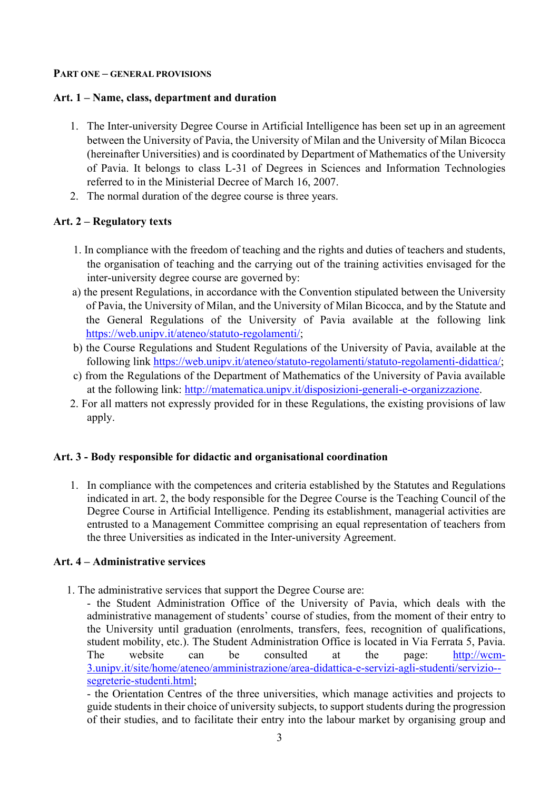#### **PART ONE – GENERAL PROVISIONS**

## **Art. 1 – Name, class, department and duration**

- 1. The Inter-university Degree Course in Artificial Intelligence has been set up in an agreement between the University of Pavia, the University of Milan and the University of Milan Bicocca (hereinafter Universities) and is coordinated by Department of Mathematics of the University of Pavia. It belongs to class L-31 of Degrees in Sciences and Information Technologies referred to in the Ministerial Decree of March 16, 2007.
- 2. The normal duration of the degree course is three years.

# **Art. 2 – Regulatory texts**

- 1. In compliance with the freedom of teaching and the rights and duties of teachers and students, the organisation of teaching and the carrying out of the training activities envisaged for the inter-university degree course are governed by:
- a) the present Regulations, in accordance with the Convention stipulated between the University of Pavia, the University of Milan, and the University of Milan Bicocca, and by the Statute and the General Regulations of the University of Pavia available at the following link [https://web.unipv.it/ateneo/statuto-regolamenti/;](https://web.unipv.it/ateneo/statuto-regolamenti/)
- b) the Course Regulations and Student Regulations of the University of Pavia, available at the following link [https://web.unipv.it/ateneo/statuto-regolamenti/statuto-regolamenti-didattica/;](https://web.unipv.it/ateneo/statuto-regolamenti/statuto-regolamenti-didattica/)
- c) from the Regulations of the Department of Mathematics of the University of Pavia available at the following link: [http://matematica.unipv.it/disposizioni-generali-e-organizzazione.](http://matematica.unipv.it/disposizioni-generali-e-organizzazione)
- 2. For all matters not expressly provided for in these Regulations, the existing provisions of law apply.

## **Art. 3 - Body responsible for didactic and organisational coordination**

1. In compliance with the competences and criteria established by the Statutes and Regulations indicated in art. 2, the body responsible for the Degree Course is the Teaching Council of the Degree Course in Artificial Intelligence. Pending its establishment, managerial activities are entrusted to a Management Committee comprising an equal representation of teachers from the three Universities as indicated in the Inter-university Agreement.

## **Art. 4 – Administrative services**

1. The administrative services that support the Degree Course are:

- the Student Administration Office of the University of Pavia, which deals with the administrative management of students' course of studies, from the moment of their entry to the University until graduation (enrolments, transfers, fees, recognition of qualifications, student mobility, etc.). The Student Administration Office is located in Via Ferrata 5, Pavia. The website can be consulted at the page: [http://wcm-](http://wcm-3.unipv.it/site/home/ateneo/amministrazione/area-didattica-e-servizi-agli-studenti/servizio--segreterie-studenti.html)[3.unipv.it/site/home/ateneo/amministrazione/area-didattica-e-servizi-agli-studenti/servizio-](http://wcm-3.unipv.it/site/home/ateneo/amministrazione/area-didattica-e-servizi-agli-studenti/servizio--segreterie-studenti.html) [segreterie-studenti.html;](http://wcm-3.unipv.it/site/home/ateneo/amministrazione/area-didattica-e-servizi-agli-studenti/servizio--segreterie-studenti.html)

- the Orientation Centres of the three universities, which manage activities and projects to guide students in their choice of university subjects, to support students during the progression of their studies, and to facilitate their entry into the labour market by organising group and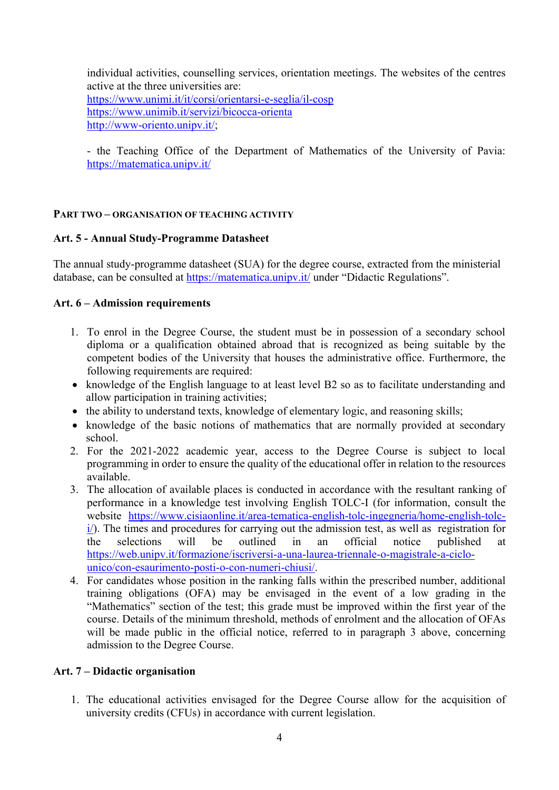individual activities, counselling services, orientation meetings. The websites of the centres active at the three universities are: <https://www.unimi.it/it/corsi/orientarsi-e-seglia/il-cosp> <https://www.unimib.it/servizi/bicocca-orienta> [http://www-oriento.unipv.it/;](http://www-oriento.unipv.it/)

- the Teaching Office of the Department of Mathematics of the University of Pavia: <https://matematica.unipv.it/>

### **PART TWO – ORGANISATION OF TEACHING ACTIVITY**

#### **Art. 5 - Annual Study-Programme Datasheet**

The annual study-programme datasheet (SUA) for the degree course, extracted from the ministerial database, can be consulted at<https://matematica.unipv.it/> under "Didactic Regulations".

#### **Art. 6 – Admission requirements**

- 1. To enrol in the Degree Course, the student must be in possession of a secondary school diploma or a qualification obtained abroad that is recognized as being suitable by the competent bodies of the University that houses the administrative office. Furthermore, the following requirements are required:
- knowledge of the English language to at least level B2 so as to facilitate understanding and allow participation in training activities;
- the ability to understand texts, knowledge of elementary logic, and reasoning skills;
- knowledge of the basic notions of mathematics that are normally provided at secondary school.
- 2. For the 2021-2022 academic year, access to the Degree Course is subject to local programming in order to ensure the quality of the educational offer in relation to the resources available.
- 3. The allocation of available places is conducted in accordance with the resultant ranking of performance in a knowledge test involving English TOLC-I (for information, consult the website [https://www.cisiaonline.it/area-tematica-english-tolc-ingegneria/home-english-tolc](https://www.cisiaonline.it/area-tematica-english-tolc-ingegneria/home-english-tolc-i/) $i$ ). The times and procedures for carrying out the admission test, as well as registration for the selections will be outlined in an official notice published at [https://web.unipv.it/formazione/iscriversi-a-una-laurea-triennale-o-magistrale-a-ciclo](https://web.unipv.it/formazione/iscriversi-a-una-laurea-triennale-o-magistrale-a-ciclo-unico/con-esaurimento-posti-o-con-numeri-chiusi/)[unico/con-esaurimento-posti-o-con-numeri-chiusi/.](https://web.unipv.it/formazione/iscriversi-a-una-laurea-triennale-o-magistrale-a-ciclo-unico/con-esaurimento-posti-o-con-numeri-chiusi/)
- 4. For candidates whose position in the ranking falls within the prescribed number, additional training obligations (OFA) may be envisaged in the event of a low grading in the "Mathematics" section of the test; this grade must be improved within the first year of the course. Details of the minimum threshold, methods of enrolment and the allocation of OFAs will be made public in the official notice, referred to in paragraph 3 above, concerning admission to the Degree Course.

## **Art. 7 – Didactic organisation**

1. The educational activities envisaged for the Degree Course allow for the acquisition of university credits (CFUs) in accordance with current legislation.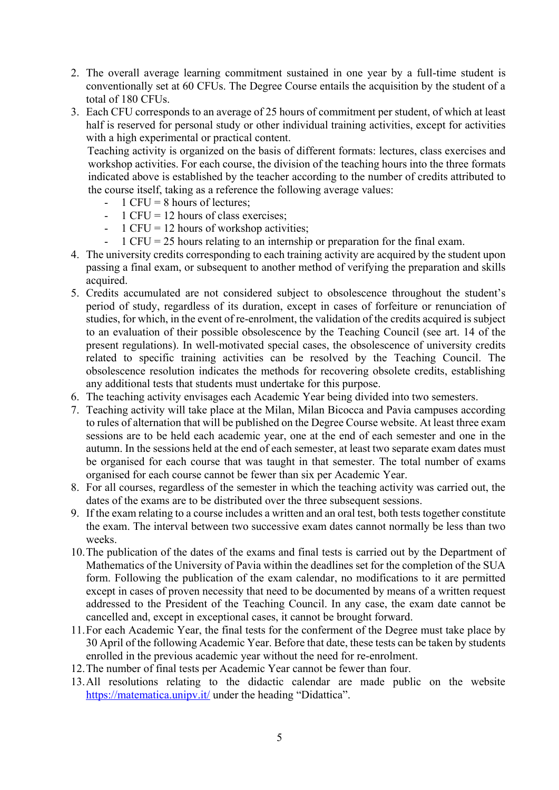- 2. The overall average learning commitment sustained in one year by a full-time student is conventionally set at 60 CFUs. The Degree Course entails the acquisition by the student of a total of 180 CFUs.
- 3. Each CFU corresponds to an average of 25 hours of commitment per student, of which at least half is reserved for personal study or other individual training activities, except for activities with a high experimental or practical content.

Teaching activity is organized on the basis of different formats: lectures, class exercises and workshop activities. For each course, the division of the teaching hours into the three formats indicated above is established by the teacher according to the number of credits attributed to the course itself, taking as a reference the following average values:

- $-1$  CFU = 8 hours of lectures:
- $-1$  CFU = 12 hours of class exercises;
- 1 CFU = 12 hours of workshop activities;
- $1$  CFU = 25 hours relating to an internship or preparation for the final exam.
- 4. The university credits corresponding to each training activity are acquired by the student upon passing a final exam, or subsequent to another method of verifying the preparation and skills acquired.
- 5. Credits accumulated are not considered subject to obsolescence throughout the student's period of study, regardless of its duration, except in cases of forfeiture or renunciation of studies, for which, in the event of re-enrolment, the validation of the credits acquired is subject to an evaluation of their possible obsolescence by the Teaching Council (see art. 14 of the present regulations). In well-motivated special cases, the obsolescence of university credits related to specific training activities can be resolved by the Teaching Council. The obsolescence resolution indicates the methods for recovering obsolete credits, establishing any additional tests that students must undertake for this purpose.
- 6. The teaching activity envisages each Academic Year being divided into two semesters.
- 7. Teaching activity will take place at the Milan, Milan Bicocca and Pavia campuses according to rules of alternation that will be published on the Degree Course website. At least three exam sessions are to be held each academic year, one at the end of each semester and one in the autumn. In the sessions held at the end of each semester, at least two separate exam dates must be organised for each course that was taught in that semester. The total number of exams organised for each course cannot be fewer than six per Academic Year.
- 8. For all courses, regardless of the semester in which the teaching activity was carried out, the dates of the exams are to be distributed over the three subsequent sessions.
- 9. If the exam relating to a course includes a written and an oral test, both tests together constitute the exam. The interval between two successive exam dates cannot normally be less than two weeks.
- 10.The publication of the dates of the exams and final tests is carried out by the Department of Mathematics of the University of Pavia within the deadlines set for the completion of the SUA form. Following the publication of the exam calendar, no modifications to it are permitted except in cases of proven necessity that need to be documented by means of a written request addressed to the President of the Teaching Council. In any case, the exam date cannot be cancelled and, except in exceptional cases, it cannot be brought forward.
- 11.For each Academic Year, the final tests for the conferment of the Degree must take place by 30 April of the following Academic Year. Before that date, these tests can be taken by students enrolled in the previous academic year without the need for re-enrolment.
- 12.The number of final tests per Academic Year cannot be fewer than four.
- 13.All resolutions relating to the didactic calendar are made public on the website <https://matematica.unipv.it/> under the heading "Didattica".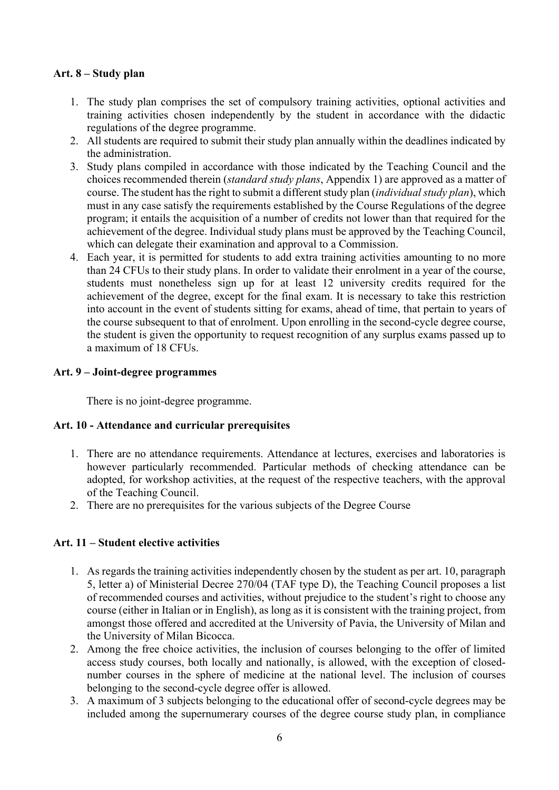## **Art. 8 – Study plan**

- 1. The study plan comprises the set of compulsory training activities, optional activities and training activities chosen independently by the student in accordance with the didactic regulations of the degree programme.
- 2. All students are required to submit their study plan annually within the deadlines indicated by the administration.
- 3. Study plans compiled in accordance with those indicated by the Teaching Council and the choices recommended therein (*standard study plans*, Appendix 1) are approved as a matter of course. The student has the right to submit a different study plan (*individual study plan*), which must in any case satisfy the requirements established by the Course Regulations of the degree program; it entails the acquisition of a number of credits not lower than that required for the achievement of the degree. Individual study plans must be approved by the Teaching Council, which can delegate their examination and approval to a Commission.
- 4. Each year, it is permitted for students to add extra training activities amounting to no more than 24 CFUs to their study plans. In order to validate their enrolment in a year of the course, students must nonetheless sign up for at least 12 university credits required for the achievement of the degree, except for the final exam. It is necessary to take this restriction into account in the event of students sitting for exams, ahead of time, that pertain to years of the course subsequent to that of enrolment. Upon enrolling in the second-cycle degree course, the student is given the opportunity to request recognition of any surplus exams passed up to a maximum of 18 CFUs.

#### **Art. 9 – Joint-degree programmes**

There is no joint-degree programme.

#### **Art. 10 - Attendance and curricular prerequisites**

- 1. There are no attendance requirements. Attendance at lectures, exercises and laboratories is however particularly recommended. Particular methods of checking attendance can be adopted, for workshop activities, at the request of the respective teachers, with the approval of the Teaching Council.
- 2. There are no prerequisites for the various subjects of the Degree Course

#### **Art. 11 – Student elective activities**

- 1. As regards the training activities independently chosen by the student as per art. 10, paragraph 5, letter a) of Ministerial Decree 270/04 (TAF type D), the Teaching Council proposes a list of recommended courses and activities, without prejudice to the student's right to choose any course (either in Italian or in English), as long as it is consistent with the training project, from amongst those offered and accredited at the University of Pavia, the University of Milan and the University of Milan Bicocca.
- 2. Among the free choice activities, the inclusion of courses belonging to the offer of limited access study courses, both locally and nationally, is allowed, with the exception of closednumber courses in the sphere of medicine at the national level. The inclusion of courses belonging to the second-cycle degree offer is allowed.
- 3. A maximum of 3 subjects belonging to the educational offer of second-cycle degrees may be included among the supernumerary courses of the degree course study plan, in compliance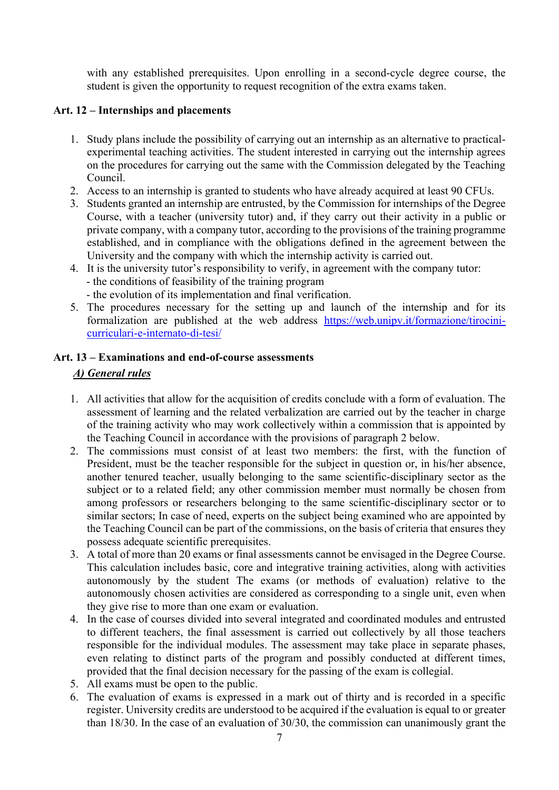with any established prerequisites. Upon enrolling in a second-cycle degree course, the student is given the opportunity to request recognition of the extra exams taken.

## **Art. 12 – Internships and placements**

- 1. Study plans include the possibility of carrying out an internship as an alternative to practicalexperimental teaching activities. The student interested in carrying out the internship agrees on the procedures for carrying out the same with the Commission delegated by the Teaching Council.
- 2. Access to an internship is granted to students who have already acquired at least 90 CFUs.
- 3. Students granted an internship are entrusted, by the Commission for internships of the Degree Course, with a teacher (university tutor) and, if they carry out their activity in a public or private company, with a company tutor, according to the provisions of the training programme established, and in compliance with the obligations defined in the agreement between the University and the company with which the internship activity is carried out.
- 4. It is the university tutor's responsibility to verify, in agreement with the company tutor: - the conditions of feasibility of the training program
	- the evolution of its implementation and final verification.
- 5. The procedures necessary for the setting up and launch of the internship and for its formalization are published at the web address [https://web.unipv.it/formazione/tirocini](https://web.unipv.it/formazione/tirocini-curriculari-e-internato-di-tesi/)[curriculari-e-internato-di-tesi/](https://web.unipv.it/formazione/tirocini-curriculari-e-internato-di-tesi/)

# **Art. 13 – Examinations and end-of-course assessments** *A) General rules*

- 1. All activities that allow for the acquisition of credits conclude with a form of evaluation. The assessment of learning and the related verbalization are carried out by the teacher in charge of the training activity who may work collectively within a commission that is appointed by the Teaching Council in accordance with the provisions of paragraph 2 below.
- 2. The commissions must consist of at least two members: the first, with the function of President, must be the teacher responsible for the subject in question or, in his/her absence, another tenured teacher, usually belonging to the same scientific-disciplinary sector as the subject or to a related field; any other commission member must normally be chosen from among professors or researchers belonging to the same scientific-disciplinary sector or to similar sectors; In case of need, experts on the subject being examined who are appointed by the Teaching Council can be part of the commissions, on the basis of criteria that ensures they possess adequate scientific prerequisites.
- 3. A total of more than 20 exams or final assessments cannot be envisaged in the Degree Course. This calculation includes basic, core and integrative training activities, along with activities autonomously by the student The exams (or methods of evaluation) relative to the autonomously chosen activities are considered as corresponding to a single unit, even when they give rise to more than one exam or evaluation.
- 4. In the case of courses divided into several integrated and coordinated modules and entrusted to different teachers, the final assessment is carried out collectively by all those teachers responsible for the individual modules. The assessment may take place in separate phases, even relating to distinct parts of the program and possibly conducted at different times, provided that the final decision necessary for the passing of the exam is collegial.
- 5. All exams must be open to the public.
- 6. The evaluation of exams is expressed in a mark out of thirty and is recorded in a specific register. University credits are understood to be acquired if the evaluation is equal to or greater than 18/30. In the case of an evaluation of 30/30, the commission can unanimously grant the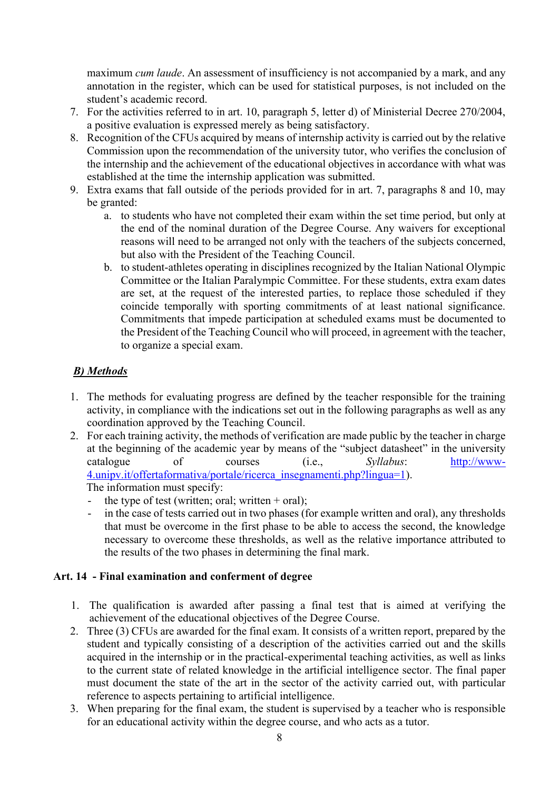maximum *cum laude*. An assessment of insufficiency is not accompanied by a mark, and any annotation in the register, which can be used for statistical purposes, is not included on the student's academic record.

- 7. For the activities referred to in art. 10, paragraph 5, letter d) of Ministerial Decree 270/2004, a positive evaluation is expressed merely as being satisfactory.
- 8. Recognition of the CFUs acquired by means of internship activity is carried out by the relative Commission upon the recommendation of the university tutor, who verifies the conclusion of the internship and the achievement of the educational objectives in accordance with what was established at the time the internship application was submitted.
- 9. Extra exams that fall outside of the periods provided for in art. 7, paragraphs 8 and 10, may be granted:
	- a. to students who have not completed their exam within the set time period, but only at the end of the nominal duration of the Degree Course. Any waivers for exceptional reasons will need to be arranged not only with the teachers of the subjects concerned, but also with the President of the Teaching Council.
	- b. to student-athletes operating in disciplines recognized by the Italian National Olympic Committee or the Italian Paralympic Committee. For these students, extra exam dates are set, at the request of the interested parties, to replace those scheduled if they coincide temporally with sporting commitments of at least national significance. Commitments that impede participation at scheduled exams must be documented to the President of the Teaching Council who will proceed, in agreement with the teacher, to organize a special exam.

# *B) Methods*

- 1. The methods for evaluating progress are defined by the teacher responsible for the training activity, in compliance with the indications set out in the following paragraphs as well as any coordination approved by the Teaching Council.
- 2. For each training activity, the methods of verification are made public by the teacher in charge at the beginning of the academic year by means of the "subject datasheet" in the university catalogue of courses (i.e., *Syllabus*: [http://www-](http://www-4.unipv.it/offertaformativa/portale/ricerca_insegnamenti.php?lingua=1)[4.unipv.it/offertaformativa/portale/ricerca\\_insegnamenti.php?lingua=1\)](http://www-4.unipv.it/offertaformativa/portale/ricerca_insegnamenti.php?lingua=1). The information must specify:
	- the type of test (written; oral; written  $+$  oral);
	- in the case of tests carried out in two phases (for example written and oral), any thresholds that must be overcome in the first phase to be able to access the second, the knowledge necessary to overcome these thresholds, as well as the relative importance attributed to the results of the two phases in determining the final mark.

## **Art. 14 - Final examination and conferment of degree**

- 1. The qualification is awarded after passing a final test that is aimed at verifying the achievement of the educational objectives of the Degree Course.
- 2. Three (3) CFUs are awarded for the final exam. It consists of a written report, prepared by the student and typically consisting of a description of the activities carried out and the skills acquired in the internship or in the practical-experimental teaching activities, as well as links to the current state of related knowledge in the artificial intelligence sector. The final paper must document the state of the art in the sector of the activity carried out, with particular reference to aspects pertaining to artificial intelligence.
- 3. When preparing for the final exam, the student is supervised by a teacher who is responsible for an educational activity within the degree course, and who acts as a tutor.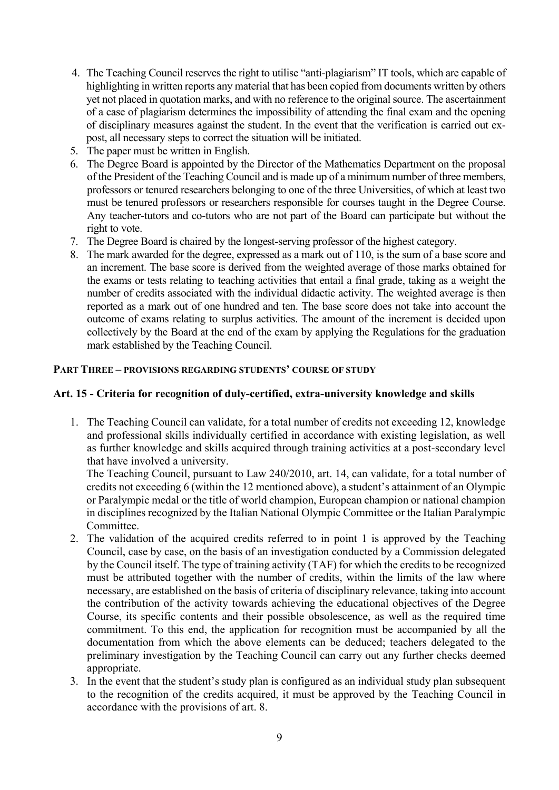- 4. The Teaching Council reserves the right to utilise "anti-plagiarism" IT tools, which are capable of highlighting in written reports any material that has been copied from documents written by others yet not placed in quotation marks, and with no reference to the original source. The ascertainment of a case of plagiarism determines the impossibility of attending the final exam and the opening of disciplinary measures against the student. In the event that the verification is carried out expost, all necessary steps to correct the situation will be initiated.
- 5. The paper must be written in English.
- 6. The Degree Board is appointed by the Director of the Mathematics Department on the proposal of the President of the Teaching Council and is made up of a minimum number of three members, professors or tenured researchers belonging to one of the three Universities, of which at least two must be tenured professors or researchers responsible for courses taught in the Degree Course. Any teacher-tutors and co-tutors who are not part of the Board can participate but without the right to vote.
- 7. The Degree Board is chaired by the longest-serving professor of the highest category.
- 8. The mark awarded for the degree, expressed as a mark out of 110, is the sum of a base score and an increment. The base score is derived from the weighted average of those marks obtained for the exams or tests relating to teaching activities that entail a final grade, taking as a weight the number of credits associated with the individual didactic activity. The weighted average is then reported as a mark out of one hundred and ten. The base score does not take into account the outcome of exams relating to surplus activities. The amount of the increment is decided upon collectively by the Board at the end of the exam by applying the Regulations for the graduation mark established by the Teaching Council.

### **PART THREE – PROVISIONS REGARDING STUDENTS' COURSE OF STUDY**

#### **Art. 15 - Criteria for recognition of duly-certified, extra-university knowledge and skills**

1. The Teaching Council can validate, for a total number of credits not exceeding 12, knowledge and professional skills individually certified in accordance with existing legislation, as well as further knowledge and skills acquired through training activities at a post-secondary level that have involved a university.

The Teaching Council, pursuant to Law 240/2010, art. 14, can validate, for a total number of credits not exceeding 6 (within the 12 mentioned above), a student's attainment of an Olympic or Paralympic medal or the title of world champion, European champion or national champion in disciplines recognized by the Italian National Olympic Committee or the Italian Paralympic Committee.

- 2. The validation of the acquired credits referred to in point 1 is approved by the Teaching Council, case by case, on the basis of an investigation conducted by a Commission delegated by the Council itself. The type of training activity (TAF) for which the credits to be recognized must be attributed together with the number of credits, within the limits of the law where necessary, are established on the basis of criteria of disciplinary relevance, taking into account the contribution of the activity towards achieving the educational objectives of the Degree Course, its specific contents and their possible obsolescence, as well as the required time commitment. To this end, the application for recognition must be accompanied by all the documentation from which the above elements can be deduced; teachers delegated to the preliminary investigation by the Teaching Council can carry out any further checks deemed appropriate.
- 3. In the event that the student's study plan is configured as an individual study plan subsequent to the recognition of the credits acquired, it must be approved by the Teaching Council in accordance with the provisions of art. 8.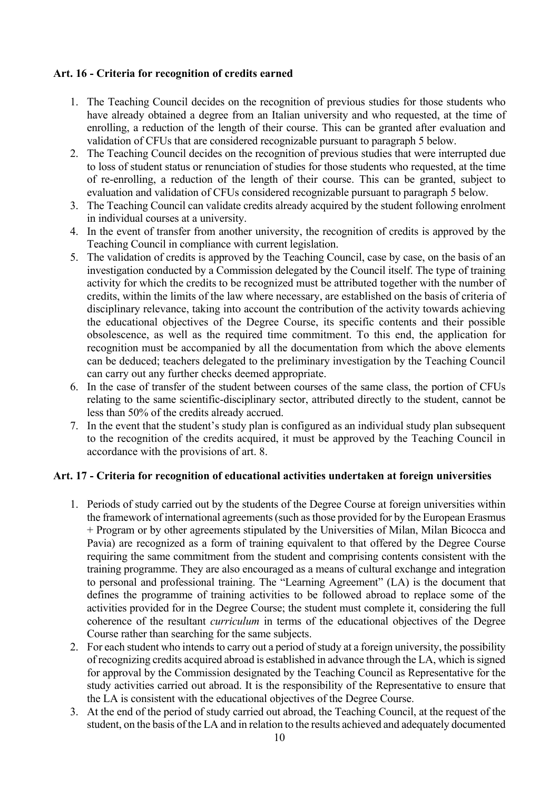## **Art. 16 - Criteria for recognition of credits earned**

- 1. The Teaching Council decides on the recognition of previous studies for those students who have already obtained a degree from an Italian university and who requested, at the time of enrolling, a reduction of the length of their course. This can be granted after evaluation and validation of CFUs that are considered recognizable pursuant to paragraph 5 below.
- 2. The Teaching Council decides on the recognition of previous studies that were interrupted due to loss of student status or renunciation of studies for those students who requested, at the time of re-enrolling, a reduction of the length of their course. This can be granted, subject to evaluation and validation of CFUs considered recognizable pursuant to paragraph 5 below.
- 3. The Teaching Council can validate credits already acquired by the student following enrolment in individual courses at a university.
- 4. In the event of transfer from another university, the recognition of credits is approved by the Teaching Council in compliance with current legislation.
- 5. The validation of credits is approved by the Teaching Council, case by case, on the basis of an investigation conducted by a Commission delegated by the Council itself. The type of training activity for which the credits to be recognized must be attributed together with the number of credits, within the limits of the law where necessary, are established on the basis of criteria of disciplinary relevance, taking into account the contribution of the activity towards achieving the educational objectives of the Degree Course, its specific contents and their possible obsolescence, as well as the required time commitment. To this end, the application for recognition must be accompanied by all the documentation from which the above elements can be deduced; teachers delegated to the preliminary investigation by the Teaching Council can carry out any further checks deemed appropriate.
- 6. In the case of transfer of the student between courses of the same class, the portion of CFUs relating to the same scientific-disciplinary sector, attributed directly to the student, cannot be less than 50% of the credits already accrued.
- 7. In the event that the student's study plan is configured as an individual study plan subsequent to the recognition of the credits acquired, it must be approved by the Teaching Council in accordance with the provisions of art. 8.

#### **Art. 17 - Criteria for recognition of educational activities undertaken at foreign universities**

- 1. Periods of study carried out by the students of the Degree Course at foreign universities within the framework of international agreements (such as those provided for by the European Erasmus + Program or by other agreements stipulated by the Universities of Milan, Milan Bicocca and Pavia) are recognized as a form of training equivalent to that offered by the Degree Course requiring the same commitment from the student and comprising contents consistent with the training programme. They are also encouraged as a means of cultural exchange and integration to personal and professional training. The "Learning Agreement" (LA) is the document that defines the programme of training activities to be followed abroad to replace some of the activities provided for in the Degree Course; the student must complete it, considering the full coherence of the resultant *curriculum* in terms of the educational objectives of the Degree Course rather than searching for the same subjects.
- 2. For each student who intends to carry out a period of study at a foreign university, the possibility of recognizing credits acquired abroad is established in advance through the LA, which is signed for approval by the Commission designated by the Teaching Council as Representative for the study activities carried out abroad. It is the responsibility of the Representative to ensure that the LA is consistent with the educational objectives of the Degree Course.
- 3. At the end of the period of study carried out abroad, the Teaching Council, at the request of the student, on the basis of the LA and in relation to the results achieved and adequately documented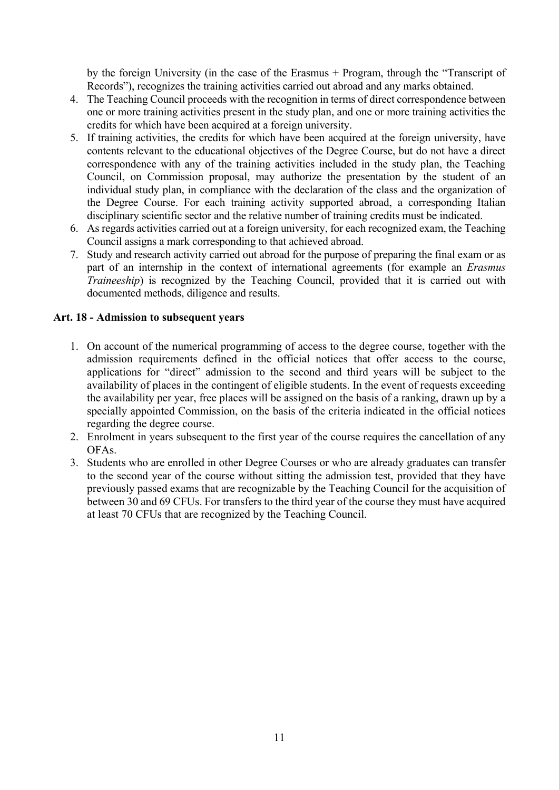by the foreign University (in the case of the Erasmus + Program, through the "Transcript of Records"), recognizes the training activities carried out abroad and any marks obtained.

- 4. The Teaching Council proceeds with the recognition in terms of direct correspondence between one or more training activities present in the study plan, and one or more training activities the credits for which have been acquired at a foreign university.
- 5. If training activities, the credits for which have been acquired at the foreign university, have contents relevant to the educational objectives of the Degree Course, but do not have a direct correspondence with any of the training activities included in the study plan, the Teaching Council, on Commission proposal, may authorize the presentation by the student of an individual study plan, in compliance with the declaration of the class and the organization of the Degree Course. For each training activity supported abroad, a corresponding Italian disciplinary scientific sector and the relative number of training credits must be indicated.
- 6. As regards activities carried out at a foreign university, for each recognized exam, the Teaching Council assigns a mark corresponding to that achieved abroad.
- 7. Study and research activity carried out abroad for the purpose of preparing the final exam or as part of an internship in the context of international agreements (for example an *Erasmus Traineeship*) is recognized by the Teaching Council, provided that it is carried out with documented methods, diligence and results.

### **Art. 18 - Admission to subsequent years**

- 1. On account of the numerical programming of access to the degree course, together with the admission requirements defined in the official notices that offer access to the course, applications for "direct" admission to the second and third years will be subject to the availability of places in the contingent of eligible students. In the event of requests exceeding the availability per year, free places will be assigned on the basis of a ranking, drawn up by a specially appointed Commission, on the basis of the criteria indicated in the official notices regarding the degree course.
- 2. Enrolment in years subsequent to the first year of the course requires the cancellation of any OFAs.
- 3. Students who are enrolled in other Degree Courses or who are already graduates can transfer to the second year of the course without sitting the admission test, provided that they have previously passed exams that are recognizable by the Teaching Council for the acquisition of between 30 and 69 CFUs. For transfers to the third year of the course they must have acquired at least 70 CFUs that are recognized by the Teaching Council.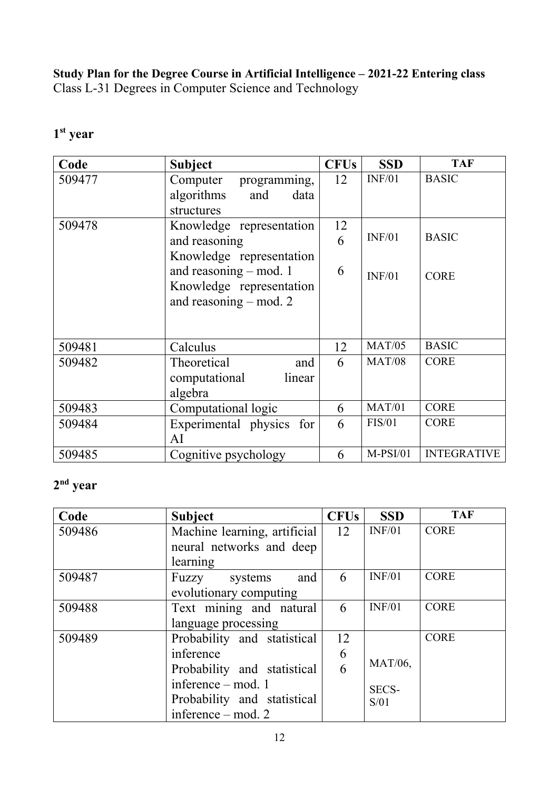**Study Plan for the Degree Course in Artificial Intelligence – 2021-22 Entering class** Class L-31 Degrees in Computer Science and Technology

| Code   | <b>Subject</b>            | <b>CFUs</b> | <b>SSD</b>    | <b>TAF</b>         |
|--------|---------------------------|-------------|---------------|--------------------|
| 509477 | Computer<br>programming,  | 12          | INF/01        | <b>BASIC</b>       |
|        | algorithms<br>and<br>data |             |               |                    |
|        | structures                |             |               |                    |
| 509478 | Knowledge representation  | 12          |               |                    |
|        | and reasoning             | 6           | INF/01        | <b>BASIC</b>       |
|        | Knowledge representation  |             |               |                    |
|        | and reasoning – mod. 1    | 6           | INF/01        | <b>CORE</b>        |
|        | Knowledge representation  |             |               |                    |
|        | and reasoning $-$ mod. 2  |             |               |                    |
|        |                           |             |               |                    |
|        |                           |             |               |                    |
| 509481 | Calculus                  | 12          | <b>MAT/05</b> | <b>BASIC</b>       |
| 509482 | Theoretical<br>and        | 6           | <b>MAT/08</b> | <b>CORE</b>        |
|        | linear<br>computational   |             |               |                    |
|        | algebra                   |             |               |                    |
| 509483 | Computational logic       | 6           | MAT/01        | <b>CORE</b>        |
| 509484 | Experimental physics for  | 6           | FIS/01        | <b>CORE</b>        |
|        | AI                        |             |               |                    |
| 509485 | Cognitive psychology      | 6           | $M-PSI/01$    | <b>INTEGRATIVE</b> |

# **1 st year**

# **2 nd year**

| Code   | <b>Subject</b>               | <b>CFUs</b> | <b>SSD</b>     | <b>TAF</b>  |
|--------|------------------------------|-------------|----------------|-------------|
| 509486 | Machine learning, artificial | 12          | INF/01         | <b>CORE</b> |
|        | neural networks and deep     |             |                |             |
|        | learning                     |             |                |             |
| 509487 | and<br>Fuzzy systems         | 6           | INF/01         | <b>CORE</b> |
|        | evolutionary computing       |             |                |             |
| 509488 | Text mining and natural      | 6           | INF/01         | <b>CORE</b> |
|        | language processing          |             |                |             |
| 509489 | Probability and statistical  | 12          |                | <b>CORE</b> |
|        | inference                    | 6           |                |             |
|        | Probability and statistical  | 6           | <b>MAT/06,</b> |             |
|        | inference $-$ mod. 1         |             | SECS-          |             |
|        | Probability and statistical  |             | S/01           |             |
|        | inference $-$ mod. 2         |             |                |             |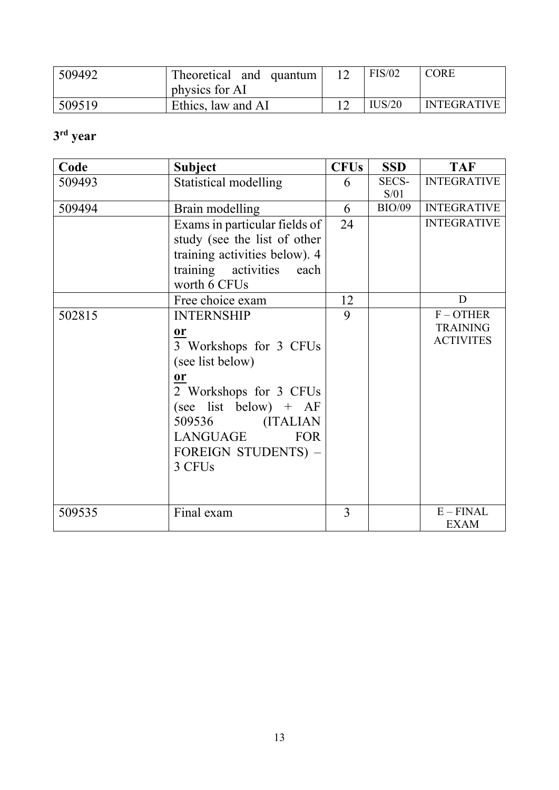| 509492 | Theoretical and quantum | FIS/02 | <b>CORE</b>        |
|--------|-------------------------|--------|--------------------|
|        | physics for AI          |        |                    |
| 509519 | Ethics, law and AI      | IUS/20 | <b>INTEGRATIVE</b> |

# **3 rd year**

| Code   | <b>Subject</b>                                                                                                                                                                                                                               | <b>CFUs</b> | <b>SSD</b>           | <b>TAF</b>                                         |
|--------|----------------------------------------------------------------------------------------------------------------------------------------------------------------------------------------------------------------------------------------------|-------------|----------------------|----------------------------------------------------|
| 509493 | Statistical modelling                                                                                                                                                                                                                        | 6           | <b>SECS-</b><br>S/01 | <b>INTEGRATIVE</b>                                 |
| 509494 | Brain modelling                                                                                                                                                                                                                              | 6           | <b>BIO/09</b>        | <b>INTEGRATIVE</b>                                 |
|        | Exams in particular fields of<br>study (see the list of other<br>training activities below). 4<br>training activities each<br>worth 6 CFUs                                                                                                   | 24          |                      | <b>INTEGRATIVE</b>                                 |
|        | Free choice exam                                                                                                                                                                                                                             | 12          |                      | D                                                  |
| 502815 | <b>INTERNSHIP</b><br>$\mathbf{or}$<br>3 Workshops for 3 CFUs<br>(see list below)<br><b>or</b><br>2 Workshops for 3 CFUs<br>(see list below) + $AF$<br>509536 (ITALIAN<br><b>FOR</b><br>LANGUAGE<br>FOREIGN STUDENTS) -<br>3 CFU <sub>s</sub> | 9           |                      | $F - OTHER$<br><b>TRAINING</b><br><b>ACTIVITES</b> |
| 509535 | Final exam                                                                                                                                                                                                                                   | 3           |                      | $E - FINAL$<br><b>EXAM</b>                         |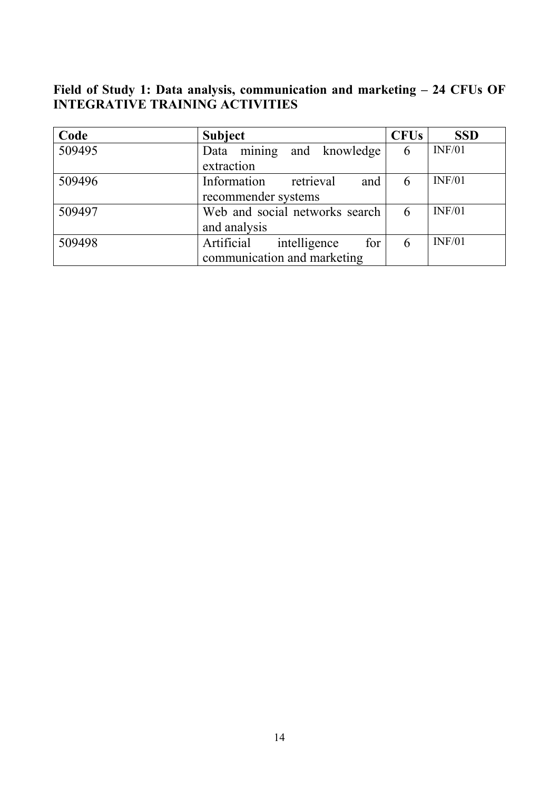**Field of Study 1: Data analysis, communication and marketing – 24 CFUs OF INTEGRATIVE TRAINING ACTIVITIES**

| Code   | <b>Subject</b>                    | <b>CFUs</b> | <b>SSD</b> |
|--------|-----------------------------------|-------------|------------|
| 509495 | Data mining and knowledge         | 6           | INF/01     |
|        | extraction                        |             |            |
| 509496 | Information<br>retrieval<br>and   | 6           | INF/01     |
|        | recommender systems               |             |            |
| 509497 | Web and social networks search    |             | INF/01     |
|        | and analysis                      |             |            |
| 509498 | Artificial<br>for<br>intelligence | 6           | INF/01     |
|        | communication and marketing       |             |            |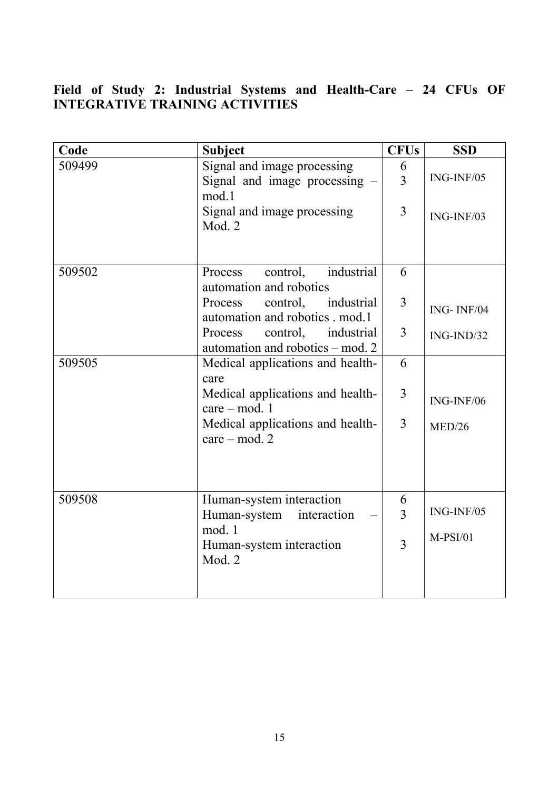# **Field of Study 2: Industrial Systems and Health-Care – 24 CFUs OF INTEGRATIVE TRAINING ACTIVITIES**

| Code   | <b>Subject</b>                                                        | <b>CFUs</b>         | <b>SSD</b>   |
|--------|-----------------------------------------------------------------------|---------------------|--------------|
| 509499 | Signal and image processing<br>Signal and image processing -<br>mod.1 | 6<br>$\overline{3}$ | ING-INF/05   |
|        | Signal and image processing<br>Mod. 2                                 | $\overline{3}$      | $ING-INF/03$ |
| 509502 | industrial<br>Process<br>control,<br>automation and robotics          | 6                   |              |
|        | Process<br>control, industrial<br>automation and robotics . mod.1     | 3                   | ING-INF/04   |
|        | control,<br>industrial<br>Process<br>automation and robotics – mod. 2 | $\overline{3}$      | $ING-IND/32$ |
| 509505 | Medical applications and health-<br>care                              | 6                   |              |
|        | Medical applications and health-<br>$care - mod. 1$                   | $\overline{3}$      | $ING-INF/06$ |
|        | Medical applications and health-<br>$care - mod. 2$                   | $\overline{3}$      | MED/26       |
| 509508 | Human-system interaction                                              | 6                   |              |
|        | Human-system<br>interaction                                           | 3                   | $ING-INF/05$ |
|        | mod. 1<br>Human-system interaction<br>Mod. 2                          | 3                   | $M-PSI/01$   |
|        |                                                                       |                     |              |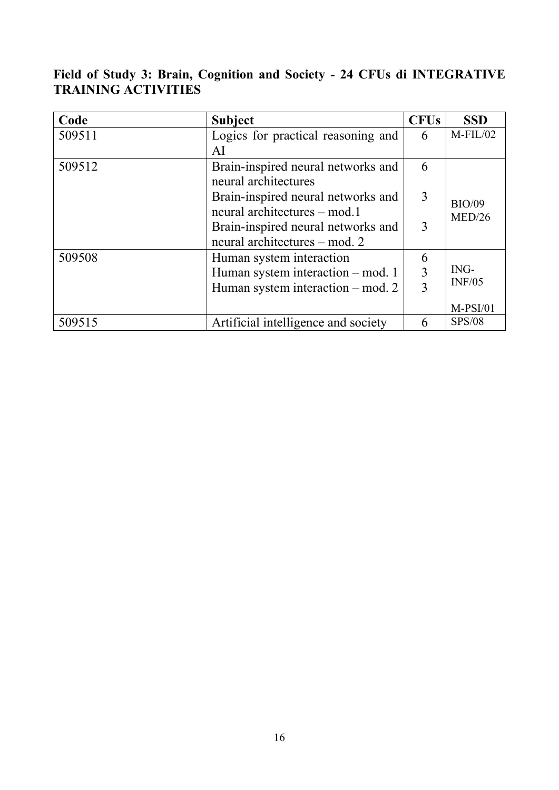# **Field of Study 3: Brain, Cognition and Society - 24 CFUs di INTEGRATIVE TRAINING ACTIVITIES**

| Code   | <b>Subject</b>                      | <b>CFUs</b>             | <b>SSD</b>    |
|--------|-------------------------------------|-------------------------|---------------|
| 509511 | Logics for practical reasoning and  | 6                       | $M$ -FIL/02   |
|        | AI                                  |                         |               |
| 509512 | Brain-inspired neural networks and  | 6                       |               |
|        | neural architectures                |                         |               |
|        | Brain-inspired neural networks and  | 3                       |               |
|        | neural architectures – mod.1        | <b>BIO/09</b><br>MED/26 |               |
|        | Brain-inspired neural networks and  |                         |               |
|        | neural architectures – mod. 2       |                         |               |
| 509508 | Human system interaction            | 6                       |               |
|        | Human system interaction – mod. 1   |                         | ING-          |
|        | Human system interaction – mod. 2   | 3                       | INF/05        |
|        |                                     |                         | $M-PSI/01$    |
| 509515 | Artificial intelligence and society | 6                       | <b>SPS/08</b> |